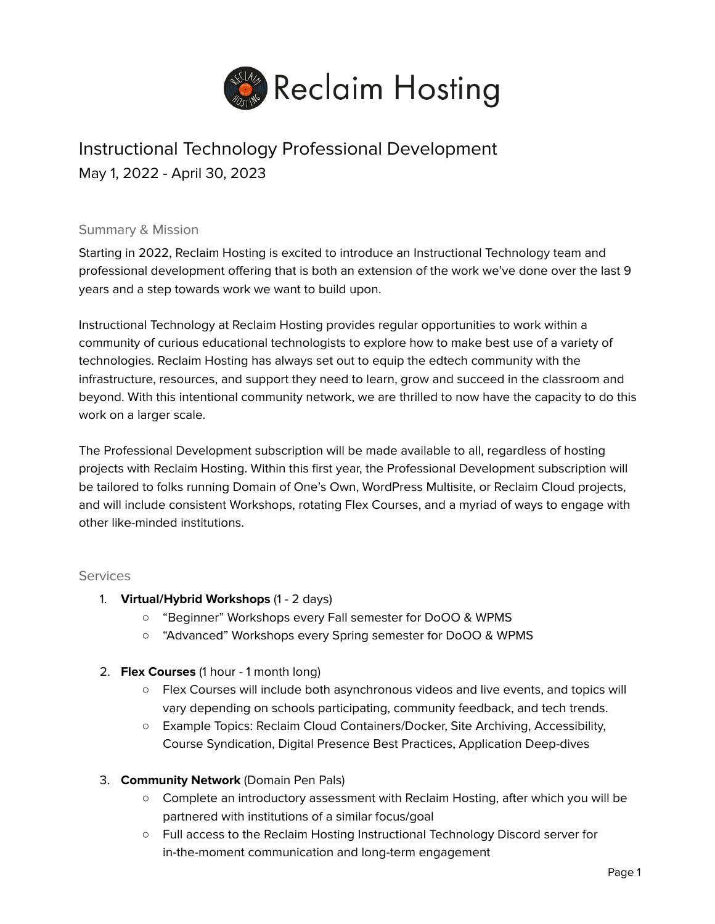

# Instructional Technology Professional Development May 1, 2022 - April 30, 2023

#### Summary & Mission

Starting in 2022, Reclaim Hosting is excited to introduce an Instructional Technology team and professional development offering that is both an extension of the work we've done over the last 9 years and a step towards work we want to build upon.

Instructional Technology at Reclaim Hosting provides regular opportunities to work within a community of curious educational technologists to explore how to make best use of a variety of technologies. Reclaim Hosting has always set out to equip the edtech community with the infrastructure, resources, and support they need to learn, grow and succeed in the classroom and beyond. With this intentional community network, we are thrilled to now have the capacity to do this work on a larger scale.

The Professional Development subscription will be made available to all, regardless of hosting projects with Reclaim Hosting. Within this first year, the Professional Development subscription will be tailored to folks running Domain of One's Own, WordPress Multisite, or Reclaim Cloud projects, and will include consistent Workshops, rotating Flex Courses, and a myriad of ways to engage with other like-minded institutions.

#### **Services**

- 1. **Virtual/Hybrid Workshops** (1 2 days)
	- "Beginner" Workshops every Fall semester for DoOO & WPMS
	- "Advanced" Workshops every Spring semester for DoOO & WPMS
- 2. **Flex Courses** (1 hour 1 month long)
	- Flex Courses will include both asynchronous videos and live events, and topics will vary depending on schools participating, community feedback, and tech trends.
	- Example Topics: Reclaim Cloud Containers/Docker, Site Archiving, Accessibility, Course Syndication, Digital Presence Best Practices, Application Deep-dives
- 3. **Community Network** (Domain Pen Pals)
	- Complete an introductory assessment with Reclaim Hosting, after which you will be partnered with institutions of a similar focus/goal
	- Full access to the Reclaim Hosting Instructional Technology Discord server for in-the-moment communication and long-term engagement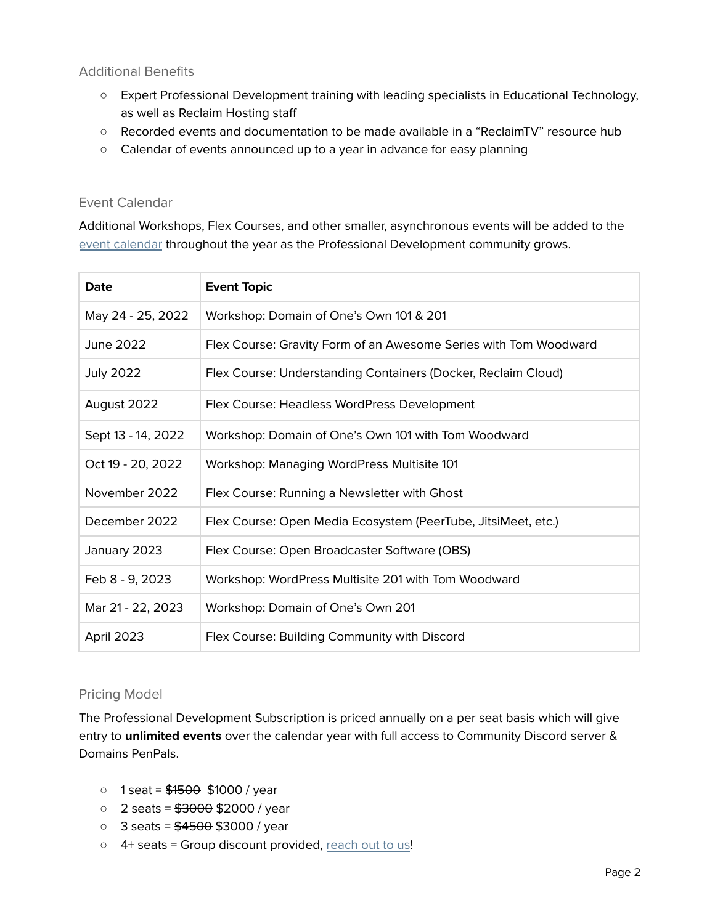### Additional Benefits

- Expert Professional Development training with leading specialists in Educational Technology, as well as Reclaim Hosting staff
- Recorded events and documentation to be made available in a "ReclaimTV" resource hub
- Calendar of events announced up to a year in advance for easy planning

# Event Calendar

Additional Workshops, Flex Courses, and other smaller, asynchronous events will be added to the event [calendar](https://reclaimhosting.com/events/) throughout the year as the Professional Development community grows.

| Date               | <b>Event Topic</b>                                               |
|--------------------|------------------------------------------------------------------|
| May 24 - 25, 2022  | Workshop: Domain of One's Own 101 & 201                          |
| June 2022          | Flex Course: Gravity Form of an Awesome Series with Tom Woodward |
| <b>July 2022</b>   | Flex Course: Understanding Containers (Docker, Reclaim Cloud)    |
| August 2022        | Flex Course: Headless WordPress Development                      |
| Sept 13 - 14, 2022 | Workshop: Domain of One's Own 101 with Tom Woodward              |
| Oct 19 - 20, 2022  | Workshop: Managing WordPress Multisite 101                       |
| November 2022      | Flex Course: Running a Newsletter with Ghost                     |
| December 2022      | Flex Course: Open Media Ecosystem (PeerTube, JitsiMeet, etc.)    |
| January 2023       | Flex Course: Open Broadcaster Software (OBS)                     |
| Feb 8 - 9, 2023    | Workshop: WordPress Multisite 201 with Tom Woodward              |
| Mar 21 - 22, 2023  | Workshop: Domain of One's Own 201                                |
| April 2023         | Flex Course: Building Community with Discord                     |

#### Pricing Model

The Professional Development Subscription is priced annually on a per seat basis which will give entry to **unlimited events** over the calendar year with full access to Community Discord server & Domains PenPals.

- $\circ$  1 seat =  $$1500$  \$1000 / year
- $\circ$  2 seats =  $$3000 $52000$  / year
- $\circ$  3 seats =  $$4500 $$ \$3000 / year
- 4+ seats = Group discount provided, [reach](https://reclaimhosting.com/instructional-tech-interest/) out to us!